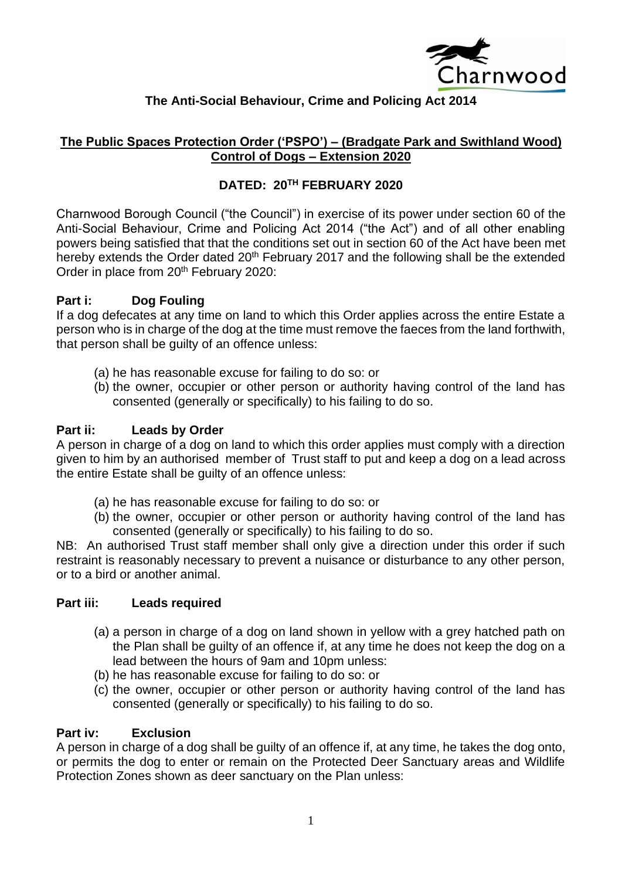

# **The Anti-Social Behaviour, Crime and Policing Act 2014**

## **The Public Spaces Protection Order ('PSPO') – (Bradgate Park and Swithland Wood) Control of Dogs – Extension 2020**

## **DATED: 20TH FEBRUARY 2020**

Charnwood Borough Council ("the Council") in exercise of its power under section 60 of the Anti-Social Behaviour, Crime and Policing Act 2014 ("the Act") and of all other enabling powers being satisfied that that the conditions set out in section 60 of the Act have been met hereby extends the Order dated 20<sup>th</sup> February 2017 and the following shall be the extended Order in place from 20<sup>th</sup> February 2020:

## **Part i: Dog Fouling**

If a dog defecates at any time on land to which this Order applies across the entire Estate a person who is in charge of the dog at the time must remove the faeces from the land forthwith, that person shall be guilty of an offence unless:

- (a) he has reasonable excuse for failing to do so: or
- (b) the owner, occupier or other person or authority having control of the land has consented (generally or specifically) to his failing to do so.

## **Part ii: Leads by Order**

A person in charge of a dog on land to which this order applies must comply with a direction given to him by an authorised member of Trust staff to put and keep a dog on a lead across the entire Estate shall be guilty of an offence unless:

- (a) he has reasonable excuse for failing to do so: or
- (b) the owner, occupier or other person or authority having control of the land has consented (generally or specifically) to his failing to do so.

NB: An authorised Trust staff member shall only give a direction under this order if such restraint is reasonably necessary to prevent a nuisance or disturbance to any other person, or to a bird or another animal.

## **Part iii: Leads required**

- (a) a person in charge of a dog on land shown in yellow with a grey hatched path on the Plan shall be guilty of an offence if, at any time he does not keep the dog on a lead between the hours of 9am and 10pm unless:
- (b) he has reasonable excuse for failing to do so: or
- (c) the owner, occupier or other person or authority having control of the land has consented (generally or specifically) to his failing to do so.

#### **Part iv: Exclusion**

A person in charge of a dog shall be guilty of an offence if, at any time, he takes the dog onto, or permits the dog to enter or remain on the Protected Deer Sanctuary areas and Wildlife Protection Zones shown as deer sanctuary on the Plan unless: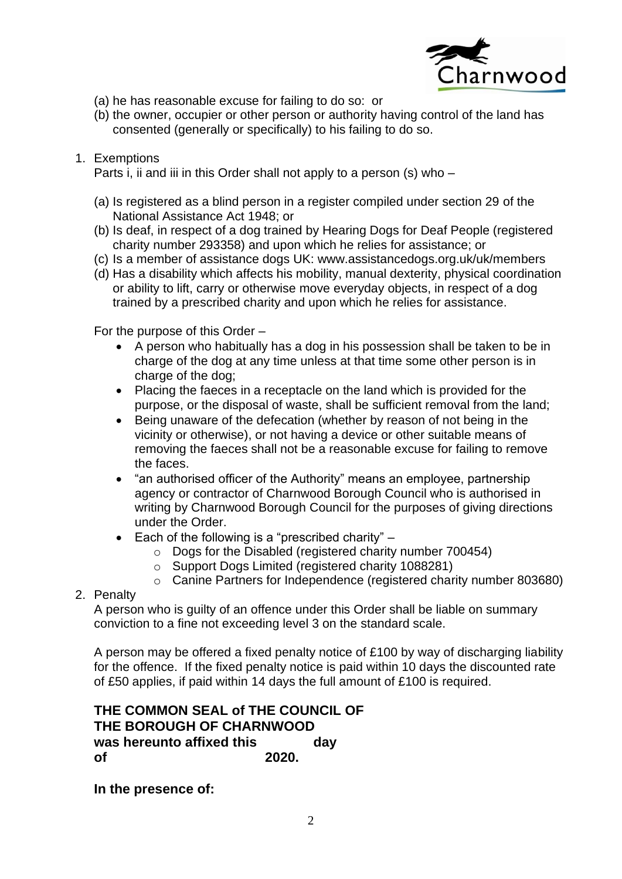

- (a) he has reasonable excuse for failing to do so: or
- (b) the owner, occupier or other person or authority having control of the land has consented (generally or specifically) to his failing to do so.
- 1. Exemptions

Parts i, ii and iii in this Order shall not apply to a person (s) who –

- (a) Is registered as a blind person in a register compiled under section 29 of the National Assistance Act 1948; or
- (b) Is deaf, in respect of a dog trained by Hearing Dogs for Deaf People (registered charity number 293358) and upon which he relies for assistance; or
- (c) Is a member of assistance dogs UK: www.assistancedogs.org.uk/uk/members
- (d) Has a disability which affects his mobility, manual dexterity, physical coordination or ability to lift, carry or otherwise move everyday objects, in respect of a dog trained by a prescribed charity and upon which he relies for assistance.

For the purpose of this Order –

- A person who habitually has a dog in his possession shall be taken to be in charge of the dog at any time unless at that time some other person is in charge of the dog;
- Placing the faeces in a receptacle on the land which is provided for the purpose, or the disposal of waste, shall be sufficient removal from the land;
- Being unaware of the defecation (whether by reason of not being in the vicinity or otherwise), or not having a device or other suitable means of removing the faeces shall not be a reasonable excuse for failing to remove the faces.
- "an authorised officer of the Authority" means an employee, partnership agency or contractor of Charnwood Borough Council who is authorised in writing by Charnwood Borough Council for the purposes of giving directions under the Order.
- Each of the following is a "prescribed charity"
	- o Dogs for the Disabled (registered charity number 700454)
	- o Support Dogs Limited (registered charity 1088281)
	- o Canine Partners for Independence (registered charity number 803680)

#### 2. Penalty

A person who is guilty of an offence under this Order shall be liable on summary conviction to a fine not exceeding level 3 on the standard scale.

A person may be offered a fixed penalty notice of £100 by way of discharging liability for the offence. If the fixed penalty notice is paid within 10 days the discounted rate of £50 applies, if paid within 14 days the full amount of £100 is required.

## **THE COMMON SEAL of THE COUNCIL OF THE BOROUGH OF CHARNWOOD**  was hereunto affixed this **day of 2020.**

**In the presence of:**